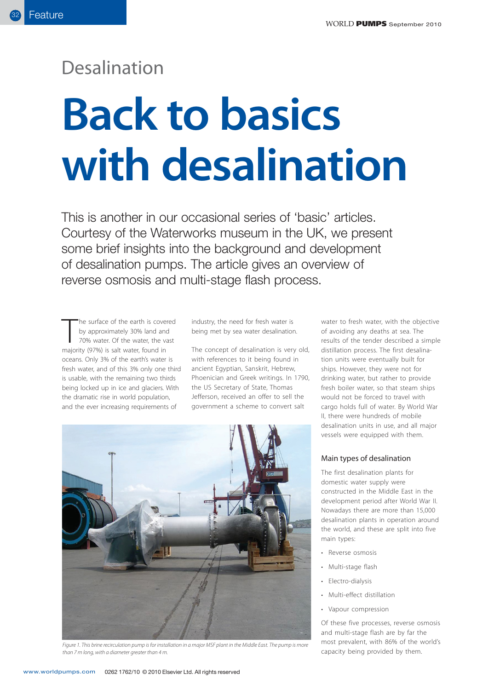## Desalination

# **Back to basics with desalination**

This is another in our occasional series of 'basic' articles. Courtesy of the Waterworks museum in the UK, we present some brief insights into the background and development of desalination pumps. The article gives an overview of reverse osmosis and multi-stage flash process.

The surface of the earth is cover<br>by approximately 30% land and<br>70% water. Of the water, the va<br>majority (97%) is salt water, found in he surface of the earth is covered by approximately 30% land and 70% water. Of the water, the vast oceans. Only 3% of the earth's water is fresh water, and of this 3% only one third is usable, with the remaining two thirds being locked up in ice and glaciers. With the dramatic rise in world population, and the ever increasing requirements of

industry, the need for fresh water is being met by sea water desalination.

The concept of desalination is very old, with references to it being found in ancient Egyptian, Sanskrit, Hebrew, Phoenician and Greek writings. In 1790, the US Secretary of State, Thomas Jefferson, received an offer to sell the government a scheme to convert salt



Figure 1. This brine recirculation pump is for installation in a major MSF plant in the Middle East. The pump is more than 7 m long, with a diameter greater than 4 m.

water to fresh water, with the objective of avoiding any deaths at sea. The results of the tender described a simple distillation process. The first desalination units were eventually built for ships. However, they were not for drinking water, but rather to provide fresh boiler water, so that steam ships would not be forced to travel with cargo holds full of water. By World War II, there were hundreds of mobile desalination units in use, and all major vessels were equipped with them.

#### Main types of desalination

The first desalination plants for domestic water supply were constructed in the Middle East in the development period after World War II. Nowadays there are more than 15,000 desalination plants in operation around the world, and these are split into five main types:

- Reverse osmosis
- Multi-stage flash
- Electro-dialysis
- Multi-effect distillation
- Vapour compression

Of these five processes, reverse osmosis and multi-stage flash are by far the most prevalent, with 86% of the world's capacity being provided by them.